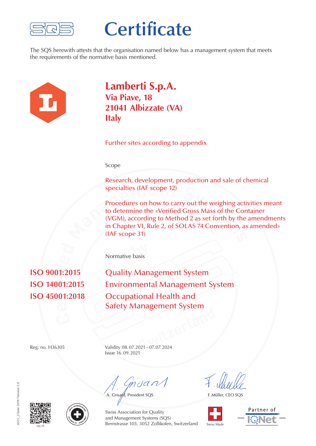

## **Certificate**

The SQS herewith attests that the organisation named below has a management system that meets the requirements of the normative basis mentioned.



**Lamberti S.p.A. Via Piave, 18 21041 Albizzate (VA) Italy**

Further sites according to appendix

Scope

Research, development, production and sale of chemical specialties (IAF scope 12)

specialties (IAF scope 12)<br>Procedures on how to carry out the weighing active to determine the «Verified Gross Mass of the Con<br>(VGM), according to Method 2 as set forth by the<br>in Chapter VI, Rule 2, of SOLAS 74 Convention, Procedures on how to carry out the weighing activities meant to determine the «Verified Gross Mass of the Container (VGM), according to Method 2 as set forth by the amendments in Chapter VI, Rule 2, of SOLAS 74 Convention, as amended» (IAF scope 31)

**by** Normative basis

001 **ti ISO 9001:2015 ied**

**Quality Management System Environmental Management System Occupational Health and** Safety Management System

**Switzerland**<br> **Switzerland**<br> **Switzerland**<br> **Switzerland**<br> **Switzerland**<br> **Switzerland**<br> **Switzerland**<br> **Switzerland**<br> **Switzerland** Reg. no. H36305 Validity 08. 07. 2021 – 07. 07. 2024 Issue 16. 09. 2021

muant

A. Grisard, President SQS

F. Müller, CEO SQS









Swiss Association for Quality and Management Systems (SQS) Bernstrasse 103, 3052 Zollikofen, Switzerland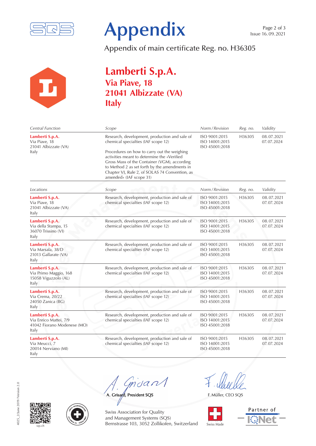



Appendix of main certificate Reg. no. H36305



## **Lamberti S.p.A. Via Piave, 18 21041 Albizzate (VA) Italy**

| Central Function                                                                  | Scope                                                                                                                                                                                                                                                                                                                                                            | Norm / Revision                                   | Reg. no. | Validity                 |
|-----------------------------------------------------------------------------------|------------------------------------------------------------------------------------------------------------------------------------------------------------------------------------------------------------------------------------------------------------------------------------------------------------------------------------------------------------------|---------------------------------------------------|----------|--------------------------|
| Lamberti S.p.A.<br>Via Piave, 18<br>21041 Albizzate (VA)<br>Italy                 | Research, development, production and sale of<br>chemical specialties (IAF scope 12)<br>Procedures on how to carry out the weighing<br>activities meant to determine the «Verified<br>Gross Mass of the Container (VGM), according<br>to Method 2 as set forth by the amendments in<br>Chapter VI, Rule 2, of SOLAS 74 Convention, as<br>amended» (IAF scope 31) | ISO 9001:2015<br>ISO 14001:2015<br>ISO 45001:2018 | H36305   | 08.07.2021<br>07.07.2024 |
| Locations                                                                         | Scope                                                                                                                                                                                                                                                                                                                                                            | Norm / Revision                                   | Reg. no. | Validity                 |
| Lamberti S.p.A.<br>Via Piave, 18<br>21041 Albizzate (VA)<br>Italy                 | Research, development, production and sale of<br>chemical specialties (IAF scope 12)                                                                                                                                                                                                                                                                             | ISO 9001:2015<br>ISO 14001:2015<br>ISO 45001:2018 | H36305   | 08.07.2021<br>07.07.2024 |
| Lamberti S.p.A.<br>Via della Stampa, 15<br>36070 Trissino (VI)<br>Italy           | Research, development, production and sale of<br>chemical specialties (IAF scope 12)                                                                                                                                                                                                                                                                             | ISO 9001:2015<br>ISO 14001:2015<br>ISO 45001:2018 | H36305   | 08.07.2021<br>07.07.2024 |
| Lamberti S.p.A.<br>Via Marsala, 38/D<br>21013 Gallarate (VA)<br>Italy             | Research, development, production and sale of<br>chemical specialties (IAF scope 12)                                                                                                                                                                                                                                                                             | ISO 9001:2015<br>ISO 14001:2015<br>ISO 45001:2018 | H36305   | 08.07.2021<br>07.07.2024 |
| Lamberti S.p.A.<br>Via Primo Maggio, 168<br>15058 Viguzzolo (AL)<br>Italy         | Research, development, production and sale of<br>chemical specialties (IAF scope 12)                                                                                                                                                                                                                                                                             | ISO 9001:2015<br>ISO 14001:2015<br>ISO 45001:2018 | H36305   | 08.07.2021<br>07.07.2024 |
| Lamberti S.p.A.<br>Via Crema, 20/22<br>24050 Zanica (BG)<br>Italy                 | Research, development, production and sale of<br>chemical specialties (IAF scope 12)                                                                                                                                                                                                                                                                             | ISO 9001:2015<br>ISO 14001:2015<br>ISO 45001:2018 | H36305   | 08.07.2021<br>07.07.2024 |
| Lamberti S.p.A.<br>Via Enrico Mattei, 7/9<br>41042 Fiorano Modenese (MO)<br>Italy | Research, development, production and sale of<br>chemical specialties (IAF scope 12)                                                                                                                                                                                                                                                                             | ISO 9001:2015<br>ISO 14001:2015<br>ISO 45001:2018 | H36305   | 08.07.2021<br>07.07.2024 |
| Lamberti S.p.A.<br>Via Meucci, 7<br>20014 Nerviano (MI)<br>Italy                  | Research, development, production and sale of<br>chemical specialties (IAF scope 12)                                                                                                                                                                                                                                                                             | ISO 9001:2015<br>ISO 14001:2015<br>ISO 45001:2018 | H36305   | 08.07.2021<br>07.07.2024 |

msan

A. Grisard, President SQS

F. Müller, CEO SQS



Partner of





Swiss Association for Quality and Management Systems (SQS) Bernstrasse 103, 3052 Zollikofen, Switzerland A. Grisafd, President SQS<br>
Swiss Association for Q<br>
Swiss Association for Q<br>
and Management Systems<br>
Bernstrasse 103, 3052 Z